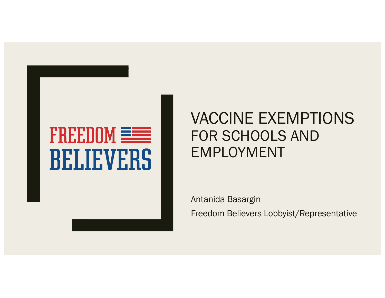# FREEDOM **EEE BELIEVERS**

### VACCINE EXEMPTIONS FOR SCHOOLS AND EMPLOYMENT

Antanida Basargin

Freedom Believers Lobbyist/Representative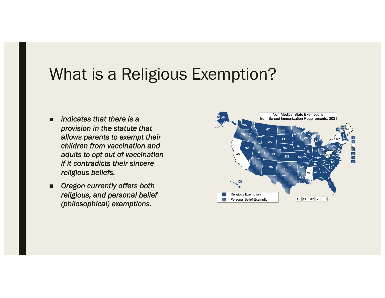### What is a Religious Exemption?

- *indicates that there is a provision in the statute that allows parents to exempt their children from vaccination and adults to opt out of vaccination if it contradicts their sincere religious beliefs.*
- *Oregon currently offers both religious, and personal belief (philosophical) exemptions.*

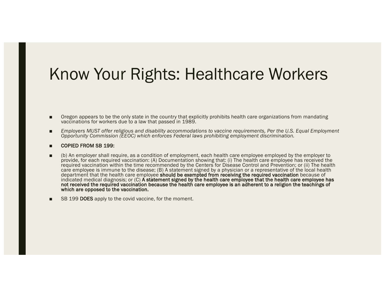### Know Your Rights: Healthcare Workers

- Oregon appears to be the only state in the country that explicitly prohibits health care organizations from mandating vaccinations for workers due to a law that passed in 1989.
- *Employers MUST offer religious and disability accommodations to vaccine requirements, Per the U.S. Equal Employment Opportunity Commission (EEOC) which enforces Federal laws prohibiting employment discrimination.*
- COPIED FROM SB 199:
- (b) An employer shall require, as a condition of employment, each health care employee employed by the employer to provide, for each required vaccination: (A) Documentation showing that: (i) The health care employee has received the required vaccination within the time recommended by the Centers for Disease Control and Prevention; or (ii) The health care employee is immune to the disease; (B) A statement signed by a physician or a representative of the local health department that the health care employee should be exempted from receiving the required vaccination because of indicated medical diagnosis; or (C) A statement signed by the health care employee that the health care employee has<br>not received the required vaccination because the health care employee is an adherent to a religion the t which are opposed to the vaccination.
- SB 199 DOES apply to the covid vaccine, for the moment.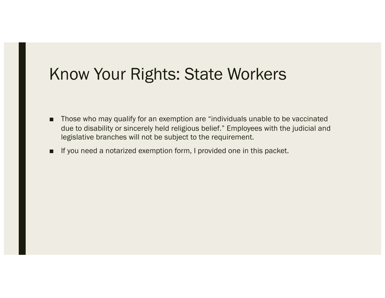### Know Your Rights: State Workers

- Those who may qualify for an exemption are "individuals unable to be vaccinated due to disability or sincerely held religious belief." Employees with the judicial and legislative branches will not be subject to the requirement.
- If you need a notarized exemption form, I provided one in this packet.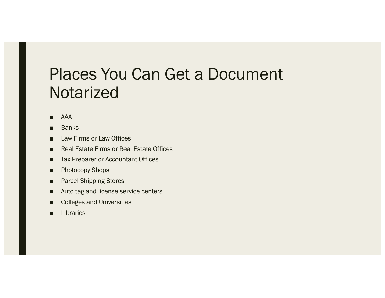### Places You Can Get a Document **Notarized**

- AAA
- Banks
- Law Firms or Law Offices
- Real Estate Firms or Real Estate Offices
- Tax Preparer or Accountant Offices
- Photocopy Shops
- Parcel Shipping Stores
- Auto tag and license service centers
- Colleges and Universities
- Libraries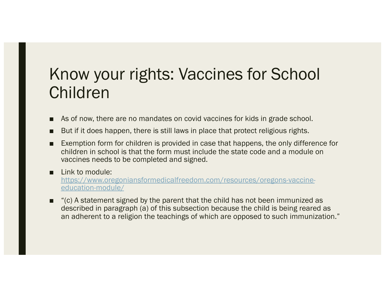### Know your rights: Vaccines for School Children

- As of now, there are no mandates on covid vaccines for kids in grade school.
- But if it does happen, there is still laws in place that protect religious rights.
- Exemption form for children is provided in case that happens, the only difference for children in school is that the form must include the state code and a module on vaccines needs to be completed and signed.
- Link to module: [https://www.oregoniansformedicalfreedom.com/resources/oregons-vaccine](https://www.oregoniansformedicalfreedom.com/resources/oregons-vaccine-education-module/)education-module/
- "(c) A statement signed by the parent that the child has not been immunized as described in paragraph (a) of this subsection because the child is being reared as an adherent to a religion the teachings of which are opposed to such immunization."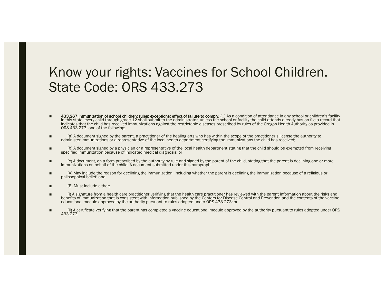### Know your rights: Vaccines for School Children. State Code: ORS 433.273

- 433.267 Immunization of school children; rules; exceptions; effect of failure to comply. (1) As a condition of attendance in any school or children's facility in this state, every child through grade 12 shall submit to the administrator, unless the school or facility the child attends already has on file a record that indicates that the child has received immunizations against the restrictable diseases prescribed by rules of the Oregon Health Authority as provided in ORS 433.273, one of the following:
- (a) A document signed by the parent, a practitioner of the healing arts who has within the scope of the practitioner's license the authority to administer immunizations or a representative of the local health department certifying the immunizations the child has received;
- (b) A document signed by a physician or a representative of the local health department stating that the child should be exempted from receiving specified immunization because of indicated medical diagnosis; or
- (c) A document, on a form prescribed by the authority by rule and signed by the parent of the child, stating that the parent is declining one or more immunizations on behalf of the child. A document submitted under this paragraph:
- (A) May include the reason for declining the immunization, including whether the parent is declining the immunization because of a religious or philosophical belief; and
- (B) Must include either:
- (i) A signature from a health care practitioner verifying that the health care practitioner has reviewed with the parent information about the risks and benefits of immunization that is consistent with information published by the Centers for Disease Control and Prevention and the contents of the vaccine educational module approved by the authority pursuant to rules adopted under ORS 433.273; or
- (ii) A certificate verifying that the parent has completed a vaccine educational module approved by the authority pursuant to rules adopted under ORS 433.273.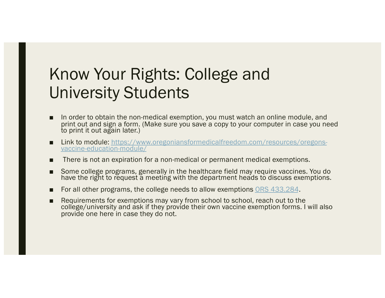### Know Your Rights: College and University Students

- In order to obtain the non-medical exemption, you must watch an online module, and print out and sign a form. (Make sure you save a copy to your computer in case you need to print it out again later.)
- [Link to module: https://www.oregoniansformedicalfreedom.com/resources/oregons](https://www.oregoniansformedicalfreedom.com/resources/oregons-vaccine-education-module/)-<br>vaccine-education-module/
- There is not an expiration for a non-medical or permanent medical exemptions.
- Some college programs, generally in the healthcare field may require vaccines. You do have the right to request a meeting with the department heads to discuss exemptions.
- For all other programs, the college needs to allow exemptions [ORS 433.284](https://www.oregonlaws.org/ors/433.284).
- Requirements for exemptions may vary from school to school, reach out to the college/university and ask if they provide their own vaccine exemption forms. I will also provide one here in case they do not.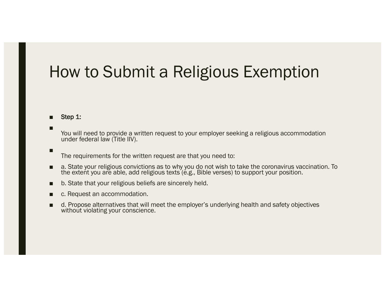## How to Submit a Religious Exemption

#### ■ Step 1:

■

■

You will need to provide a written request to your employer seeking a religious accommodation under federal law (Title IIV).

The requirements for the written request are that you need to:

- a. State your religious convictions as to why you do not wish to take the coronavirus vaccination. To the extent you are able, add religious texts (e.g., Bible verses) to support your position.
- b. State that your religious beliefs are sincerely held.
- c. Request an accommodation.
- d. Propose alternatives that will meet the employer's underlying health and safety objectives without violating your conscience.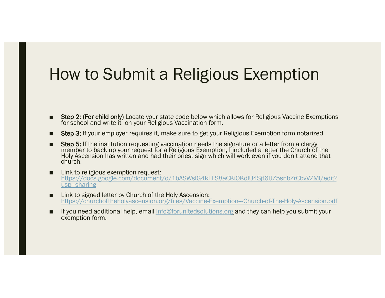### How to Submit a Religious Exemption

- Step 2: (For child only) Locate your state code below which allows for Religious Vaccine Exemptions for school and write it on your Religious Vaccination form.
- Step 3: If your employer requires it, make sure to get your Religious Exemption form notarized.
- Step 5: If the institution requesting vaccination needs the signature or a letter from a clergy member to back up your request for a Religious Exemption, I included a letter the Church of the Holy Ascension has written and had their priest sign which will work even if you don't attend that church.
- Link to religious exemption request: [https://docs.google.com/document/d/1bASWsIG4kLLS8aCKiQKdlU4Sjt6IJZ5snbZrCbvVZMI/edit](https://docs.google.com/document/d/1bASWsIG4kLLS8aCKiQKdlU4Sjt6IJZ5snbZrCbvVZMI/edit?usp=sharing)? usp=sharing
- Link to signed letter by Church of the Holy Ascension: [https://churchoftheholyascension.org/files/Vaccine-Exemption---Church-of-The-Holy-Ascension.pd](https://churchoftheholyascension.org/files/Vaccine-Exemption---Church-of-The-Holy-Ascension.pdf)f
- If you need additional help, ema[il info@forunitedsolutions.or](mailto:info@forunitedsolutions.org)g and they can help you submit your exemption form.